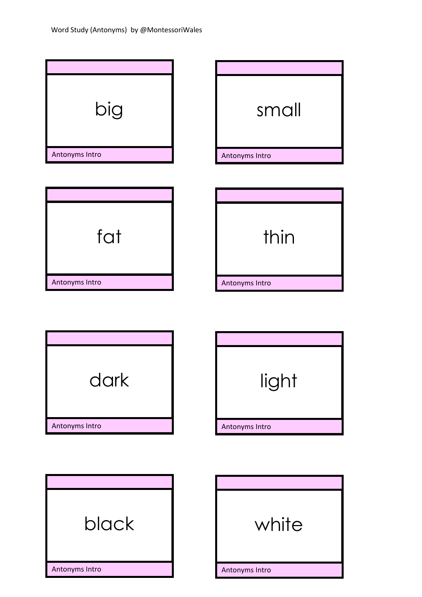

Antonyms Intro 11\\\\\\\\\\\\\\\\\ Antonyms Intro

11\\\\\\\\\\\\\\\\\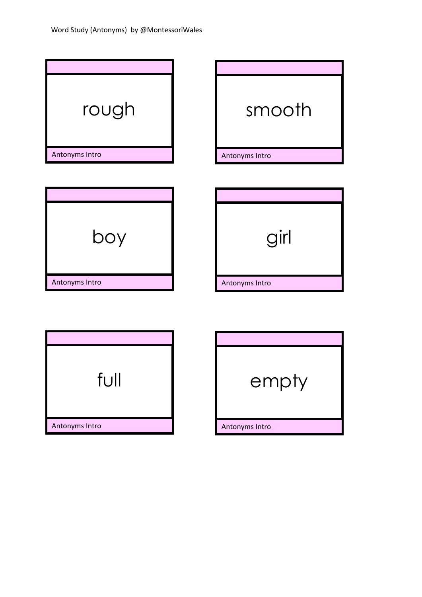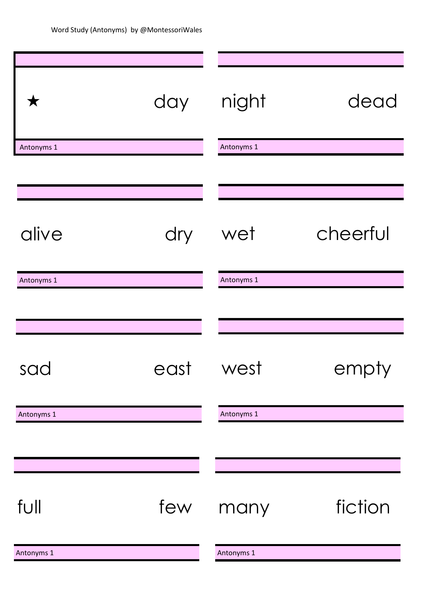| $\bigstar$ | day  | night      | dead     |
|------------|------|------------|----------|
| Antonyms 1 |      | Antonyms 1 |          |
|            |      |            |          |
|            |      |            |          |
| alive      | dry  | wet        | cheerful |
| Antonyms 1 |      | Antonyms 1 |          |
|            |      |            |          |
| sad        | east | west       | empty    |
| Antonyms 1 |      | Antonyms 1 |          |
|            |      |            |          |
| full       | few  | many       | fiction  |
| Antonyms 1 |      | Antonyms 1 |          |
|            |      |            |          |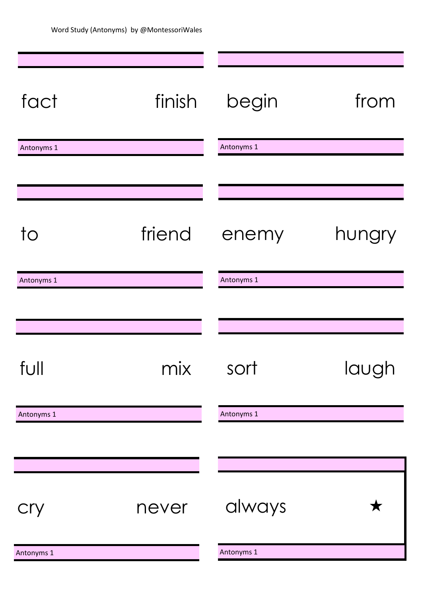| fact           | finish | begin      | from   |
|----------------|--------|------------|--------|
| Antonyms 1     |        | Antonyms 1 |        |
|                |        |            |        |
|                |        |            |        |
| $\overline{1}$ | friend | enemy      | hungry |
| Antonyms 1     |        | Antonyms 1 |        |
|                |        |            |        |
|                |        |            |        |
| full           | mix    | sort       | laugh  |
| Antonyms 1     |        | Antonyms 1 |        |
|                |        |            |        |
|                |        |            |        |
| cry            | never  | always     |        |
| Antonyms 1     |        | Antonyms 1 |        |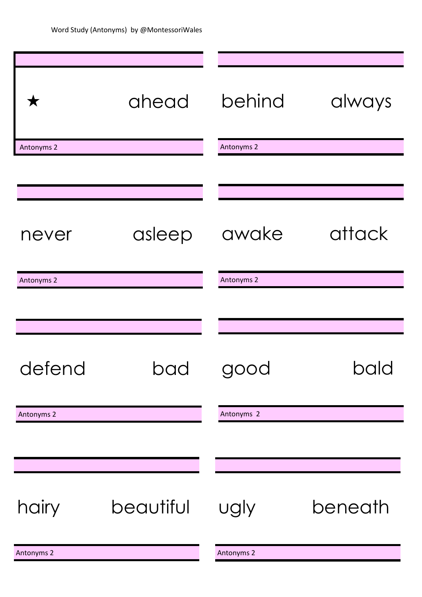| ★          | ahead     | behind     | always  |
|------------|-----------|------------|---------|
| Antonyms 2 |           | Antonyms 2 |         |
|            |           |            |         |
|            |           |            |         |
| never      | asleep    | awake      | attack  |
| Antonyms 2 |           | Antonyms 2 |         |
|            |           |            |         |
|            |           |            |         |
| defend     | bad       | good       | bald    |
| Antonyms 2 |           | Antonyms 2 |         |
|            |           |            |         |
|            |           |            |         |
| hairy      | beautiful | ugly       | beneath |
| Antonyms 2 |           | Antonyms 2 |         |
|            |           |            |         |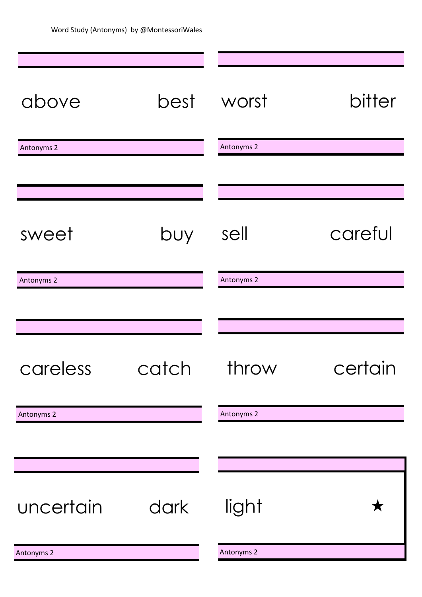| above      | best  | worst      | bitter  |
|------------|-------|------------|---------|
| Antonyms 2 |       | Antonyms 2 |         |
|            |       |            |         |
|            |       |            |         |
| sweet      | buy   | sell       | careful |
| Antonyms 2 |       | Antonyms 2 |         |
|            |       |            |         |
|            |       |            |         |
| careless   | catch | throw      | certain |
| Antonyms 2 |       | Antonyms 2 |         |
|            |       |            |         |
|            |       |            |         |
| uncertain  | dark  | light      |         |
| Antonyms 2 |       | Antonyms 2 |         |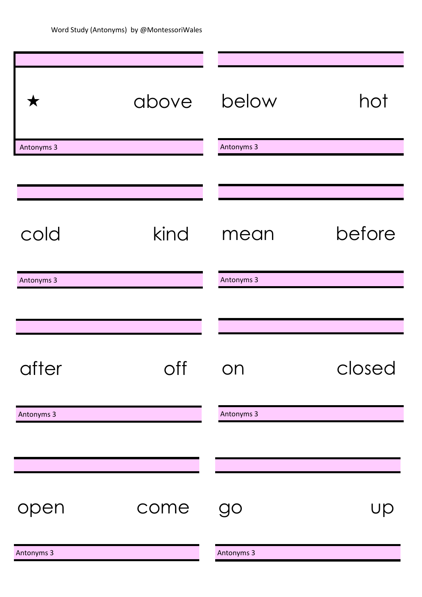| ▼          | above                               | below      | hot    |
|------------|-------------------------------------|------------|--------|
| Antonyms 3 |                                     | Antonyms 3 |        |
|            |                                     |            |        |
|            |                                     |            |        |
| cold       | kind                                | mean       | before |
| Antonyms 3 |                                     | Antonyms 3 |        |
|            |                                     |            |        |
|            |                                     |            |        |
| after      | $\bigcirc$ ff<br>$\check{ }$<br>. . | ON         | closed |
| Antonyms 3 |                                     | Antonyms 3 |        |
|            |                                     |            |        |
|            |                                     |            |        |
| open       | come                                | go         | Up     |
| Antonyms 3 |                                     | Antonyms 3 |        |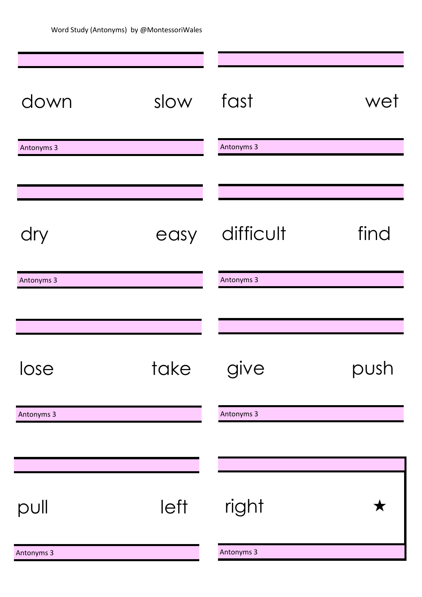| down       | slow | fast       | wet  |
|------------|------|------------|------|
| Antonyms 3 |      | Antonyms 3 |      |
|            |      |            |      |
| dry        | easy | difficult  | find |
| Antonyms 3 |      | Antonyms 3 |      |
|            |      |            |      |
|            |      |            |      |
| lose       | take | give       | push |
| Antonyms 3 |      | Antonyms 3 |      |
|            |      |            |      |
|            |      |            |      |
| pull       | left | right      |      |
| Antonyms 3 |      | Antonyms 3 |      |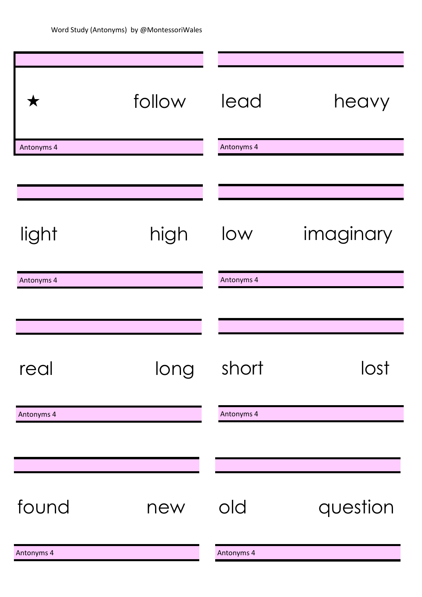| ★          | follow | lead       | heavy     |
|------------|--------|------------|-----------|
| Antonyms 4 |        | Antonyms 4 |           |
|            |        |            |           |
|            |        |            |           |
| light      | high   | low        | imaginary |
| Antonyms 4 |        | Antonyms 4 |           |
|            |        |            |           |
|            |        |            |           |
| real       | long   | short      | lost      |
| Antonyms 4 |        | Antonyms 4 |           |
|            |        |            |           |
|            |        |            |           |
| found      | new    | old        | question  |
| Antonyms 4 |        | Antonyms 4 |           |
|            |        |            |           |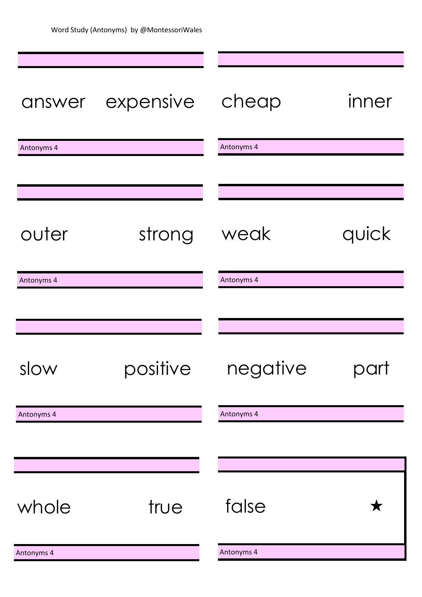| answer     | expensive | cheap      | inner |
|------------|-----------|------------|-------|
| Antonyms 4 |           | Antonyms 4 |       |
|            |           |            |       |
|            |           |            |       |
| outer      | strong    | weak       | quick |
| Antonyms 4 |           | Antonyms 4 |       |
|            |           |            |       |
|            |           |            |       |
| slow       | positive  | negative   |       |
| Antonyms 4 |           | Antonyms 4 |       |
|            |           |            |       |
|            |           |            |       |
| whole      | true      | false      |       |
| Antonyms 4 |           | Antonyms 4 |       |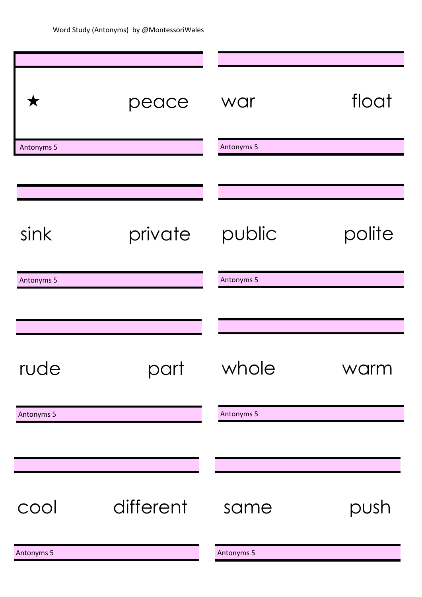| $\bigstar$ | peace     | war        | float  |
|------------|-----------|------------|--------|
| Antonyms 5 |           | Antonyms 5 |        |
|            |           |            |        |
|            |           |            |        |
| sink       | private   | public     | polite |
| Antonyms 5 |           | Antonyms 5 |        |
|            |           |            |        |
|            |           |            |        |
| rude       | part      | whole      | warm   |
| Antonyms 5 |           | Antonyms 5 |        |
|            |           |            |        |
|            |           |            |        |
| cool       | different | same       | push   |
| Antonyms 5 |           | Antonyms 5 |        |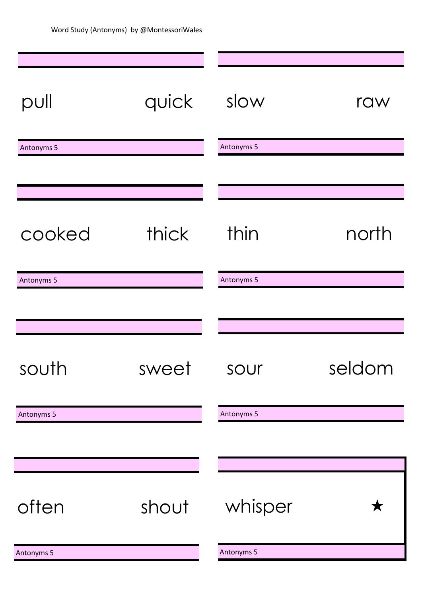| pull       | quick | slow       | raw    |
|------------|-------|------------|--------|
| Antonyms 5 |       | Antonyms 5 |        |
|            |       |            |        |
| cooked     | thick | thin       | north  |
| Antonyms 5 |       | Antonyms 5 |        |
|            |       |            |        |
|            |       |            |        |
| south      | sweet | sour       | seldom |
| Antonyms 5 |       | Antonyms 5 |        |
|            |       |            |        |
|            |       |            |        |
| often      | shout | whisper    |        |
| Antonyms 5 |       | Antonyms 5 |        |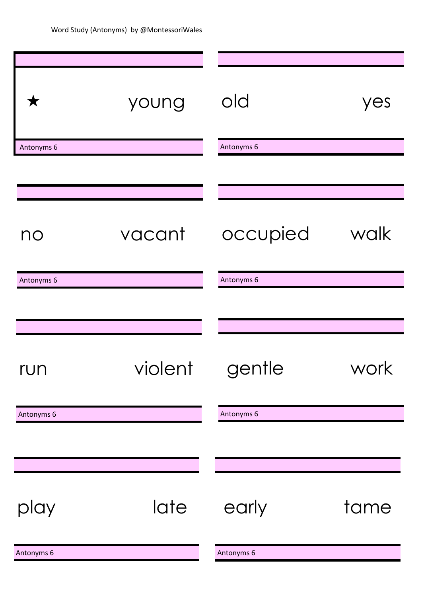| Х          | young   | old        | yes  |
|------------|---------|------------|------|
| Antonyms 6 |         | Antonyms 6 |      |
|            |         |            |      |
|            |         |            |      |
| no         | vacant  | occupied   | walk |
| Antonyms 6 |         | Antonyms 6 |      |
|            |         |            |      |
|            |         |            |      |
| run        | violent | gentle     | work |
| Antonyms 6 |         | Antonyms 6 |      |
|            |         |            |      |
|            |         |            |      |
| play       | late    | early      | tame |
| Antonyms 6 |         | Antonyms 6 |      |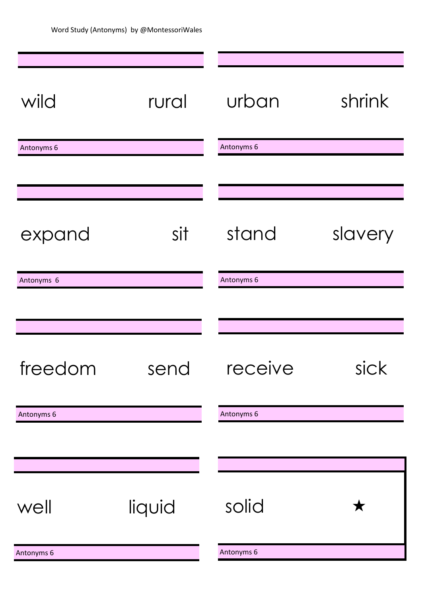| wild       | rural  | urban      | shrink  |
|------------|--------|------------|---------|
| Antonyms 6 |        | Antonyms 6 |         |
|            |        |            |         |
|            |        |            |         |
| expand     | sit    | stand      | slavery |
| Antonyms 6 |        | Antonyms 6 |         |
|            |        |            |         |
|            |        |            |         |
| freedom    | send   | receive    | sick    |
| Antonyms 6 |        | Antonyms 6 |         |
|            |        |            |         |
|            |        |            |         |
| well       | liquid | solid      |         |
| Antonyms 6 |        | Antonyms 6 |         |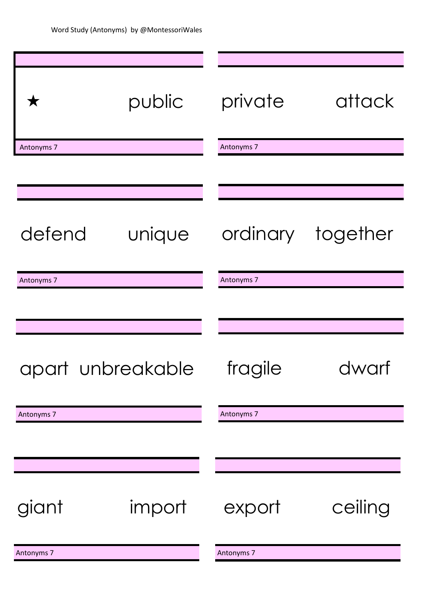| $\bigstar$        | public | private    | attack            |
|-------------------|--------|------------|-------------------|
| Antonyms 7        |        | Antonyms 7 |                   |
|                   |        |            |                   |
|                   |        |            |                   |
| defend            | unique |            | ordinary together |
| Antonyms 7        |        | Antonyms 7 |                   |
|                   |        |            |                   |
|                   |        |            |                   |
| apart unbreakable |        | fragile    | dwarf             |
| Antonyms 7        |        | Antonyms 7 |                   |
|                   |        |            |                   |
|                   |        |            |                   |
| giant             | import | export     | ceiling           |
| Antonyms 7        |        | Antonyms 7 |                   |